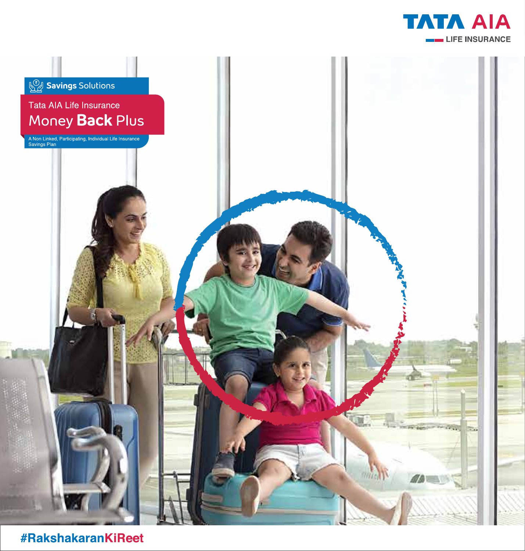



#RakshakaranKiReet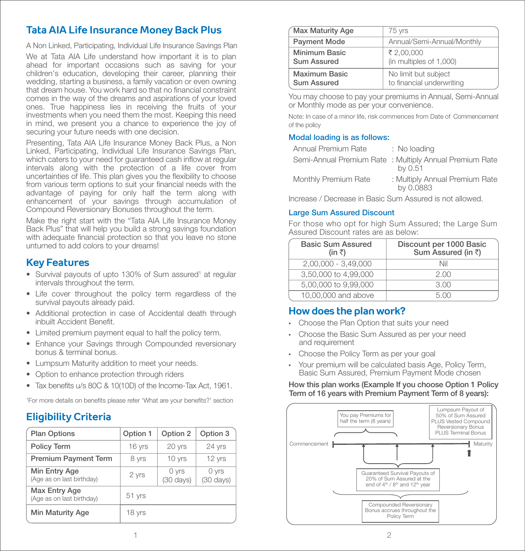# **Tata AIA Life Insurance Money Back Plus**

A Non Linked, Participating, Individual Life Insurance Savings Plan

We at Tata AIA Life understand how important it is to plan ahead for important occasions such as saving for your children's education, developing their career, planning their wedding, starting a business, a family vacation or even owning that dream house. You work hard so that no financial constraint comes in the way of the dreams and aspirations of your loved ones. True happiness lies in receiving the fruits of your investments when you need them the most. Keeping this need in mind, we present you a chance to experience the joy of securing your future needs with one decision.

Presenting, Tata AIA Life Insurance Money Back Plus, a Non Linked, Participating, Individual Life Insurance Savings Plan, which caters to your need for guaranteed cash inflow at regular intervals along with the protection of a life cover from uncertainties of life. This plan gives you the flexibility to choose from various term options to suit your financial needs with the advantage of paying for only half the term along with enhancement of your savings through accumulation of Compound Reversionary Bonuses throughout the term.

Make the right start with the "Tata AIA Life Insurance Money Back Plus" that will help you build a strong savings foundation with adequate financial protection so that you leave no stone unturned to add colors to your dreams!

## **Key Features**

- Survival payouts of upto 130% of Sum assured<sup>1</sup> at regular intervals throughout the term.
- Life cover throughout the policy term regardless of the survival payouts already paid.
- Additional protection in case of Accidental death through inbuilt Accident Benefit.
- Limited premium payment equal to half the policy term.
- Enhance your Savings through Compounded reversionary bonus & terminal bonus.
- Lumpsum Maturity addition to meet your needs.
- Option to enhance protection through riders
- Tax benefits u/s 80C & 10(10D) of the Income-Tax Act, 1961.

<sup>1</sup>For more details on benefits please refer 'What are your benefits?' section

# **Eligibility Criteria**

| <b>Plan Options</b>                        | Option 1 | Option 2                     | Option 3                       |  |
|--------------------------------------------|----------|------------------------------|--------------------------------|--|
| <b>Policy Term</b>                         | 16 yrs   | 20 yrs                       | 24 yrs                         |  |
| <b>Premium Payment Term</b>                | 8 yrs    | 10 yrs                       | 12 yrs                         |  |
| Min Entry Age<br>(Age as on last birthday) | 2 yrs    | 0 yrs<br>$(30 \text{ days})$ | $0$ yrs<br>$(30 \text{ days})$ |  |
| Max Entry Age<br>(Age as on last birthday) | 51 yrs   |                              |                                |  |
| Min Maturity Age                           | 18 yrs   |                              |                                |  |

| Max Maturity Age                    | 75 yrs                                            |  |  |  |  |
|-------------------------------------|---------------------------------------------------|--|--|--|--|
| <b>Payment Mode</b>                 | Annual/Semi-Annual/Monthly                        |  |  |  |  |
| Minimum Basic<br><b>Sum Assured</b> | ₹ 2.00.000<br>(in multiples of 1,000)             |  |  |  |  |
| Maximum Basic<br><b>Sum Assured</b> | No limit but subject<br>to financial underwriting |  |  |  |  |

You may choose to pay your premiums in Annual, Semi-Annual or Monthly mode as per your convenience.

Note: In case of a minor life, risk commences from Date of Commencement of the policy

### Modal loading is as follows:

| Annual Premium Rate  | : No loading                                                       |
|----------------------|--------------------------------------------------------------------|
|                      | Semi-Annual Premium Rate : Multiply Annual Premium Rate<br>by 0.51 |
| Monthly Premium Rate | : Multiply Annual Premium Rate<br>by 0.0883                        |

Increase / Decrease in Basic Sum Assured is not allowed.

## Large Sum Assured Discount

For those who opt for high Sum Assured; the Large Sum Assured Discount rates are as below:

| <b>Basic Sum Assured</b><br>(in ₹) | Discount per 1000 Basic<br>Sum Assured (in ₹) |  |  |  |
|------------------------------------|-----------------------------------------------|--|--|--|
| $2,00,000 - 3,49,000$              | Nil                                           |  |  |  |
| 3,50,000 to 4,99,000               | 2.00                                          |  |  |  |
| 5,00,000 to 9,99,000               | 3.00                                          |  |  |  |
| 10,00,000 and above                | .5 NO                                         |  |  |  |

## **How does the plan work?**

- Choose the Plan Option that suits your need
- Choose the Basic Sum Assured as per your need and requirement
- Choose the Policy Term as per your goal
- Your premium will be calculated basis Age, Policy Term, Basic Sum Assured, Premium Payment Mode chosen

#### How this plan works (Example If you choose Option 1 Policy Term of 16 years with Premium Payment Term of 8 years):

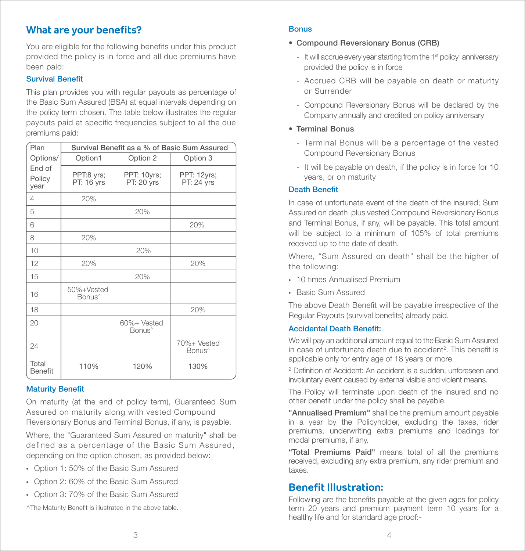# **What are your benefits?**

You are eligible for the following benefits under this product provided the policy is in force and all due premiums have been paid:

## Survival Benet

This plan provides you with regular payouts as percentage of the Basic Sum Assured (BSA) at equal intervals depending on the policy term chosen. The table below illustrates the regular payouts paid at specific frequencies subject to all the due premiums paid:

| Plan                     | Survival Benefit as a % of Basic Sum Assured |                                   |                                   |  |  |
|--------------------------|----------------------------------------------|-----------------------------------|-----------------------------------|--|--|
| Options/                 | Option1                                      | Option 2                          | Option 3                          |  |  |
| End of<br>Policy<br>year | PPT:8 yrs;<br>PT: 16 yrs                     | PPT: 10yrs;<br>PT: 20 yrs         | PPT: 12yrs;<br><b>PT: 24 yrs</b>  |  |  |
| 4                        | 20%                                          |                                   |                                   |  |  |
| 5                        |                                              | 20%                               |                                   |  |  |
| 6                        |                                              |                                   | 20%                               |  |  |
| 8                        | 20%                                          |                                   |                                   |  |  |
| 10                       |                                              | 20%                               |                                   |  |  |
| 12                       | 20%                                          |                                   | 20%                               |  |  |
| 15                       |                                              | 20%                               |                                   |  |  |
| 16                       | 50%+Vested<br>Bonus <sup>^</sup>             |                                   |                                   |  |  |
| 18                       |                                              |                                   | 20%                               |  |  |
| 20                       |                                              | 60%+ Vested<br>Bonus <sup>^</sup> |                                   |  |  |
| 24                       |                                              |                                   | 70%+ Vested<br>Bonus <sup>^</sup> |  |  |
| Total<br><b>Benefit</b>  | 110%                                         | 120%                              | 130%                              |  |  |

## **Maturity Benefit**

On maturity (at the end of policy term), Guaranteed Sum Assured on maturity along with vested Compound Reversionary Bonus and Terminal Bonus, if any, is payable.

Where, the "Guaranteed Sum Assured on maturity" shall be defined as a percentage of the Basic Sum Assured, depending on the option chosen, as provided below:

- Option 1: 50% of the Basic Sum Assured
- Option 2: 60% of the Basic Sum Assured
- Option 3: 70% of the Basic Sum Assured

^The Maturity Benefit is illustrated in the above table.

## **Bonus**

- Compound Reversionary Bonus (CRB)
	- It will accrue every year starting from the  $1<sup>st</sup>$  policy anniversary provided the policy is in force
	- Accrued CRB will be payable on death or maturity or Surrender
	- Compound Reversionary Bonus will be declared by the Company annually and credited on policy anniversary
- Terminal Bonus
	- Terminal Bonus will be a percentage of the vested Compound Reversionary Bonus
	- It will be payable on death, if the policy is in force for 10 years, or on maturity

## Death Benet

In case of unfortunate event of the death of the insured; Sum Assured on death plus vested Compound Reversionary Bonus and Terminal Bonus, if any, will be payable. This total amount will be subject to a minimum of 105% of total premiums received up to the date of death.

Where, "Sum Assured on death" shall be the higher of the following:

- 10 times Annualised Premium
- Basic Sum Assured

The above Death Benefit will be payable irrespective of the Regular Payouts (survival benefits) already paid.

## **Accidental Death Benefit:**

We will pay an additional amount equal to the Basic Sum Assured in case of unfortunate death due to accident<sup>2</sup>. This benefit is applicable only for entry age of 18 years or more.

<sup>2</sup> Definition of Accident: An accident is a sudden, unforeseen and involuntary event caused by external visible and violent means.

The Policy will terminate upon death of the insured and no other benefit under the policy shall be payable.

"Annualised Premium" shall be the premium amount payable in a year by the Policyholder, excluding the taxes, rider premiums, underwriting extra premiums and loadings for modal premiums, if any.

"Total Premiums Paid" means total of all the premiums received, excluding any extra premium, any rider premium and taxes.

## **Benefit Illustration:**

Following are the benefits payable at the given ages for policy term 20 years and premium payment term 10 years for a healthy life and for standard age proof:-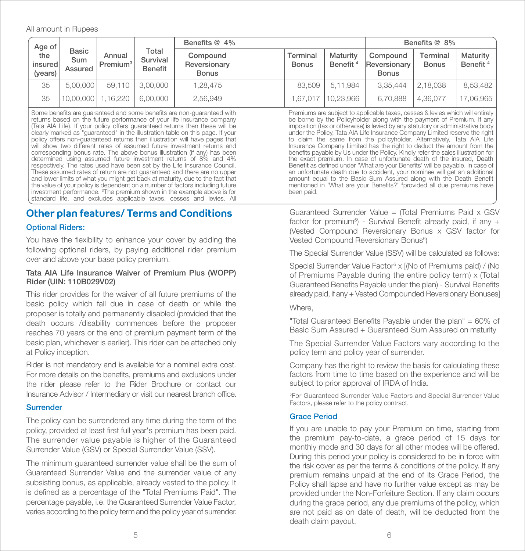#### All amount in Rupees

| Age of                                                                                                                                                                                                                                                                                                                                                                                                                                                                                                                                                  |                         | Benefits @ 4%                  |                                                                                                                                                                                                                                                                                                                                                                                                                                                                                                                                                                 | Benefits @ 8%                            |                          |                                  |                                          |                          |                                  |
|---------------------------------------------------------------------------------------------------------------------------------------------------------------------------------------------------------------------------------------------------------------------------------------------------------------------------------------------------------------------------------------------------------------------------------------------------------------------------------------------------------------------------------------------------------|-------------------------|--------------------------------|-----------------------------------------------------------------------------------------------------------------------------------------------------------------------------------------------------------------------------------------------------------------------------------------------------------------------------------------------------------------------------------------------------------------------------------------------------------------------------------------------------------------------------------------------------------------|------------------------------------------|--------------------------|----------------------------------|------------------------------------------|--------------------------|----------------------------------|
| the<br>insured<br>(years)                                                                                                                                                                                                                                                                                                                                                                                                                                                                                                                               | Basic<br>Sum<br>Assured | Annual<br>Premium <sup>3</sup> | Total<br>Survival<br><b>Benefit</b>                                                                                                                                                                                                                                                                                                                                                                                                                                                                                                                             | Compound<br>Reversionary<br><b>Bonus</b> | Terminal<br><b>Bonus</b> | Maturity<br>Benefit <sup>4</sup> | Compound<br>Reversionary<br><b>Bonus</b> | Terminal<br><b>Bonus</b> | Maturity<br>Benefit <sup>4</sup> |
| 35                                                                                                                                                                                                                                                                                                                                                                                                                                                                                                                                                      | 5.00.000                | 59.110                         | 3.00.000                                                                                                                                                                                                                                                                                                                                                                                                                                                                                                                                                        | 1,28,475                                 | 83.509                   | 5,11,984                         | 3.35.444                                 | 2,18,038                 | 8,53,482                         |
| 35                                                                                                                                                                                                                                                                                                                                                                                                                                                                                                                                                      | 10.00.000               | .16.220                        | 6.00.000                                                                                                                                                                                                                                                                                                                                                                                                                                                                                                                                                        | 2,56,949                                 | 1.67.017                 | 10,23,966                        | 6.70.888                                 | 4.36.077                 | 17,06,965                        |
| Some benefits are quaranteed and some benefits are non-quaranteed with<br>returns based on the future performance of your life insurance company<br>(Tata AIA Life). If your policy offers guaranteed returns then these will be<br>clearly marked as "quaranteed" in the illustration table on this page. If your<br>policy offers non-quaranteed returns then illustration will have pages that<br>will show two different rates of assumed future investment returns and<br>corresponding bonus rate. The above bonus illustration (if any) has been |                         |                                | Premiums are subject to applicable taxes, cesses & levies which will entirely<br>be borne by the Policyholder along with the payment of Premium. If any<br>imposition (tax or otherwise) is levied by any statutory or administrative body<br>under the Policy, Tata AIA Life Insurance Company Limited reserve the right<br>to claim the same from the policyholder. Alternatively, Tata AIA Life<br>Insurance Company Limited has the right to deduct the amount from the<br>benefits payable by Us under the Policy. Kindly refer the sales illustration for |                                          |                          |                                  |                                          |                          |                                  |

will show two different rates of assumed future investment returns and corresponding bonus rate. The above bonus illustration (if any) has been determined using assumed future investment returns of 8% and 4% respectively. The rates used have been set by the Life Insurance Council. These assumed rates of return are not quaranteed and there are no upper and lower limits of what you might get back at maturity, due to the fact that the value of your policy is dependent on a number of factors including future investment performance. 3 The premium shown in the example above is for standard life, and excludes applicable taxes, cesses and levies. All

## **Other plan features/ Terms and Conditions**

## Optional Riders:

You have the flexibility to enhance your cover by adding the following optional riders, by paying additional rider premium over and above your base policy premium.

## Tata AIA Life Insurance Waiver of Premium Plus (WOPP) Rider (UIN: 110B029V02)

This rider provides for the waiver of all future premiums of the basic policy which fall due in case of death or while the proposer is totally and permanently disabled (provided that the death occurs /disability commences before the proposer reaches 70 years or the end of premium payment term of the basic plan, whichever is earlier). This rider can be attached only at Policy inception.

Rider is not mandatory and is available for a nominal extra cost. For more details on the benefits, premiums and exclusions under the rider please refer to the Rider Brochure or contact our Insurance Advisor / Intermediary or visit our nearest branch office.

## **Surrender**

The policy can be surrendered any time during the term of the policy, provided at least first full year's premium has been paid. The surrender value payable is higher of the Guaranteed Surrender Value (GSV) or Special Surrender Value (SSV).

The minimum guaranteed surrender value shall be the sum of Guaranteed Surrender Value and the surrender value of any subsisting bonus, as applicable, already vested to the policy. It is defined as a percentage of the "Total Premiums Paid". The percentage payable, i.e. the Guaranteed Surrender Value Factor, varies according to the policy term and the policy year of surrender. Guaranteed Surrender Value = (Total Premiums Paid x GSV factor for premium<sup>5</sup>) - Survival Benefit already paid, if any  $+$ (Vested Compound Reversionary Bonus x GSV factor for Vested Compound Reversionary Bonus<sup>5</sup>)

the exact premium. In case of unfortunate death of the insured, Death Benefit as defined under 'What are your Benefits' will be payable. In case of an unfortunate death due to accident, your nominee will get an additional amount equal to the Basic Sum Assured along with the Death Benefit mentioned in 'What are your Benefits?' <sup>4</sup>provided all due premiums have

The Special Surrender Value (SSV) will be calculated as follows:

Special Surrender Value Factor<sup>5</sup> x [(No of Premiums paid) / (No of Premiums Payable during the entire policy term) x (Total Guaranteed Benefits Payable under the plan) - Survival Benefits already paid, if any + Vested Compounded Reversionary Bonuses]

Where,

been paid.

"Total Guaranteed Benefits Pavable under the plan" =  $60\%$  of Basic Sum Assured + Guaranteed Sum Assured on maturity

The Special Surrender Value Factors vary according to the policy term and policy year of surrender.

Company has the right to review the basis for calculating these factors from time to time based on the experience and will be subject to prior approval of IRDA of India.

5For Guaranteed Surrender Value Factors and Special Surrender Value Factors, please refer to the policy contract.

## Grace Period

If you are unable to pay your Premium on time, starting from the premium pay-to-date, a grace period of 15 days for monthly mode and 30 days for all other modes will be offered. During this period your policy is considered to be in force with the risk cover as per the terms & conditions of the policy. If any premium remains unpaid at the end of its Grace Period, the Policy shall lapse and have no further value except as may be provided under the Non-Forfeiture Section. If any claim occurs during the grace period, any due premiums of the policy, which are not paid as on date of death, will be deducted from the death claim payout.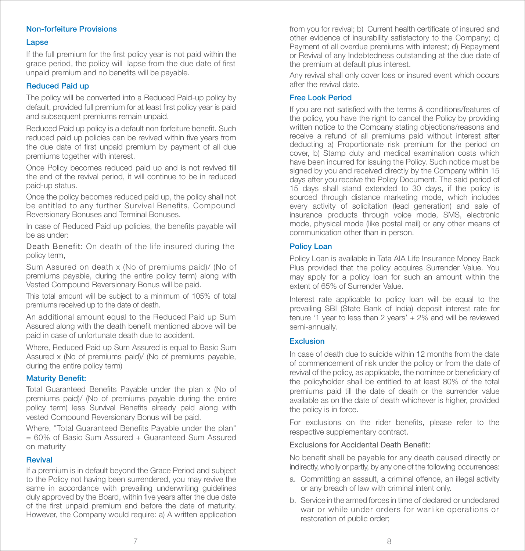## Non-forfeiture Provisions

#### **Lapse**

If the full premium for the first policy year is not paid within the grace period, the policy will lapse from the due date of first unpaid premium and no benefits will be payable.

### Reduced Paid up

The policy will be converted into a Reduced Paid-up policy by default, provided full premium for at least first policy year is paid and subsequent premiums remain unpaid.

Reduced Paid up policy is a default non forfeiture benefit. Such reduced paid up policies can be revived within five vears from the due date of first unpaid premium by payment of all due premiums together with interest.

Once Policy becomes reduced paid up and is not revived till the end of the revival period, it will continue to be in reduced paid-up status.

Once the policy becomes reduced paid up, the policy shall not be entitled to any further Survival Benefits, Compound Reversionary Bonuses and Terminal Bonuses.

In case of Reduced Paid up policies, the benefits payable will be as under:

Death Benefit: On death of the life insured during the policy term,

Sum Assured on death x (No of premiums paid)/ (No of premiums payable, during the entire policy term) along with Vested Compound Reversionary Bonus will be paid.

This total amount will be subject to a minimum of 105% of total premiums received up to the date of death.

An additional amount equal to the Reduced Paid up Sum Assured along with the death benefit mentioned above will be paid in case of unfortunate death due to accident.

Where, Reduced Paid up Sum Assured is equal to Basic Sum Assured x (No of premiums paid)/ (No of premiums payable, during the entire policy term)

#### **Maturity Benefit:**

Total Guaranteed Benefits Pavable under the plan x (No of premiums paid)/ (No of premiums payable during the entire policy term) less Survival Benefits already paid along with vested Compound Reversionary Bonus will be paid.

Where, "Total Guaranteed Benefits Pavable under the plan"  $= 60\%$  of Basic Sum Assured  $+$  Guaranteed Sum Assured on maturity

#### **Revival**

If a premium is in default beyond the Grace Period and subject to the Policy not having been surrendered, you may revive the same in accordance with prevailing underwriting quidelines duly approved by the Board, within five years after the due date of the first unpaid premium and before the date of maturity. However, the Company would require: a) A written application from you for revival; b) Current health certificate of insured and other evidence of insurability satisfactory to the Company; c) Payment of all overdue premiums with interest; d) Repayment or Revival of any Indebtedness outstanding at the due date of the premium at default plus interest.

Any revival shall only cover loss or insured event which occurs after the revival date.

### Free Look Period

If you are not satisfied with the terms & conditions/features of the policy, you have the right to cancel the Policy by providing written notice to the Company stating objections/reasons and receive a refund of all premiums paid without interest after deducting a) Proportionate risk premium for the period on cover, b) Stamp duty and medical examination costs which have been incurred for issuing the Policy. Such notice must be signed by you and received directly by the Company within 15 days after you receive the Policy Document. The said period of 15 days shall stand extended to 30 days, if the policy is sourced through distance marketing mode, which includes every activity of solicitation (lead generation) and sale of insurance products through voice mode, SMS, electronic mode, physical mode (like postal mail) or any other means of communication other than in person.

#### Policy Loan

Policy Loan is available in Tata AIA Life Insurance Money Back Plus provided that the policy acquires Surrender Value. You may apply for a policy loan for such an amount within the extent of 65% of Surrender Value.

Interest rate applicable to policy loan will be equal to the prevailing SBI (State Bank of India) deposit interest rate for tenure '1 year to less than 2 years' + 2% and will be reviewed semi-annually.

## Exclusion

In case of death due to suicide within 12 months from the date of commencement of risk under the policy or from the date of revival of the policy, as applicable, the nominee or beneficiary of the policyholder shall be entitled to at least 80% of the total premiums paid till the date of death or the surrender value available as on the date of death whichever is higher, provided the policy is in force.

For exclusions on the rider benefits, please refer to the respective supplementary contract.

## **Exclusions for Accidental Death Benefit:**

No benefit shall be payable for any death caused directly or indirectly, wholly or partly, by any one of the following occurrences:

- a. Committing an assault, a criminal offence, an illegal activity or any breach of law with criminal intent only.
- b. Service in the armed forces in time of declared or undeclared war or while under orders for warlike operations or restoration of public order;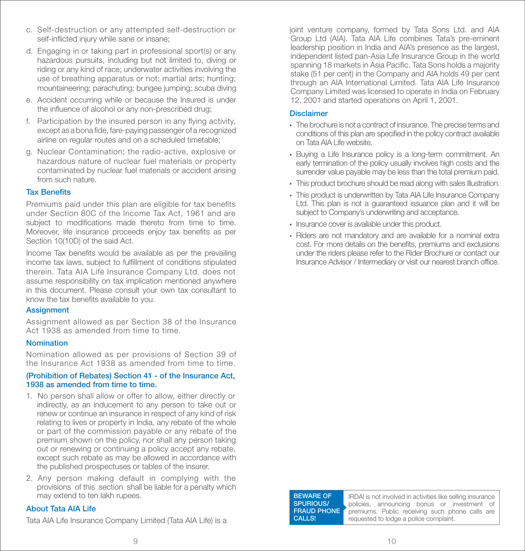- c. Self-destruction or any attempted self-destruction or self-inflicted injury while sane or insane:
- d. Engaging in or taking part in professional sport(s) or any hazardous pursuits, including but not limited to, diving or riding or any kind of race; underwater activities involving the use of breathing apparatus or not; martial arts; hunting; mountaineering; parachuting; bungee jumping; scuba diving
- e. Accident occurring while or because the Insured is under the influence of alcohol or any non-prescribed drug;
- f. Participation by the insured person in any flying activity. except as a bona fide, fare-paying passenger of a recognized airline on regular routes and on a scheduled timetable;
- g. Nuclear Contamination; the radio-active, explosive or hazardous nature of nuclear fuel materials or property contaminated by nuclear fuel materials or accident arising from such nature.

### **Tax Benefits**

Premiums paid under this plan are eligible for tax benefits under Section 80C of the Income Tax Act, 1961 and are subject to modifications made thereto from time to time. Moreover, life insurance proceeds enjoy tax benefits as per Section 10(10D) of the said Act.

Income Tax benefits would be available as per the prevailing income tax laws, subject to fulfillment of conditions stipulated therein. Tata AIA Life Insurance Company Ltd. does not assume responsibility on tax implication mentioned anywhere in this document. Please consult your own tax consultant to know the tax benefits available to you.

#### **Assignment**

Assignment allowed as per Section 38 of the Insurance Act 1938 as amended from time to time.

## Nomination

Nomination allowed as per provisions of Section 39 of the Insurance Act 1938 as amended from time to time.

#### (Prohibition of Rebates) Section 41 - of the Insurance Act, 1938 as amended from time to time.

- 1. No person shall allow or offer to allow, either directly or indirectly, as an inducement to any person to take out or renew or continue an insurance in respect of any kind of risk relating to lives or property in India, any rebate of the whole or part of the commission payable or any rebate of the premium shown on the policy, nor shall any person taking out or renewing or continuing a policy accept any rebate, except such rebate as may be allowed in accordance with the published prospectuses or tables of the insurer.
- 2. Any person making default in complying with the provisions of this section shall be liable for a penalty which may extend to ten lakh rupees.

#### About Tata AIA Life

Tata AIA Life Insurance Company Limited (Tata AIA Life) is a

joint venture company, formed by Tata Sons Ltd. and AIA Group Ltd (AIA). Tata AIA Life combines Tata's pre-eminent leadership position in India and AIA's presence as the largest, independent listed pan-Asia Life Insurance Group in the world spanning 18 markets in Asia Pacific. Tata Sons holds a majority stake (51 per cent) in the Company and AIA holds 49 per cent through an AIA International Limited. Tata AIA Life Insurance Company Limited was licensed to operate in India on February 12, 2001 and started operations on April 1, 2001.

#### Disclaimer

- The brochure is not a contract of insurance. The precise terms and conditions of this plan are specified in the policy contract available on Tata AIA Life website.
- Buying a Life Insurance policy is a long-term commitment. An early termination of the policy usually involves high costs and the surrender value payable may be less than the total premium paid.
- This product brochure should be read along with sales Illustration.
- This product is underwritten by Tata AIA Life Insurance Company Ltd. This plan is not a guaranteed issuance plan and it will be subject to Company's underwriting and acceptance.
- Insurance cover is available under this product.
- Riders are not mandatory and are available for a nominal extra cost. For more details on the benefits, premiums and exclusions under the riders please refer to the Rider Brochure or contact our Insurance Advisor / Intermediary or visit our nearest branch office.

BEWARE OF SPURIOUS/ FRAUD PHONE CALLS!

IRDAI is not involved in activities like selling insurance policies, announcing bonus or investment of premiums. Public receiving such phone calls are requested to lodge a police complaint.